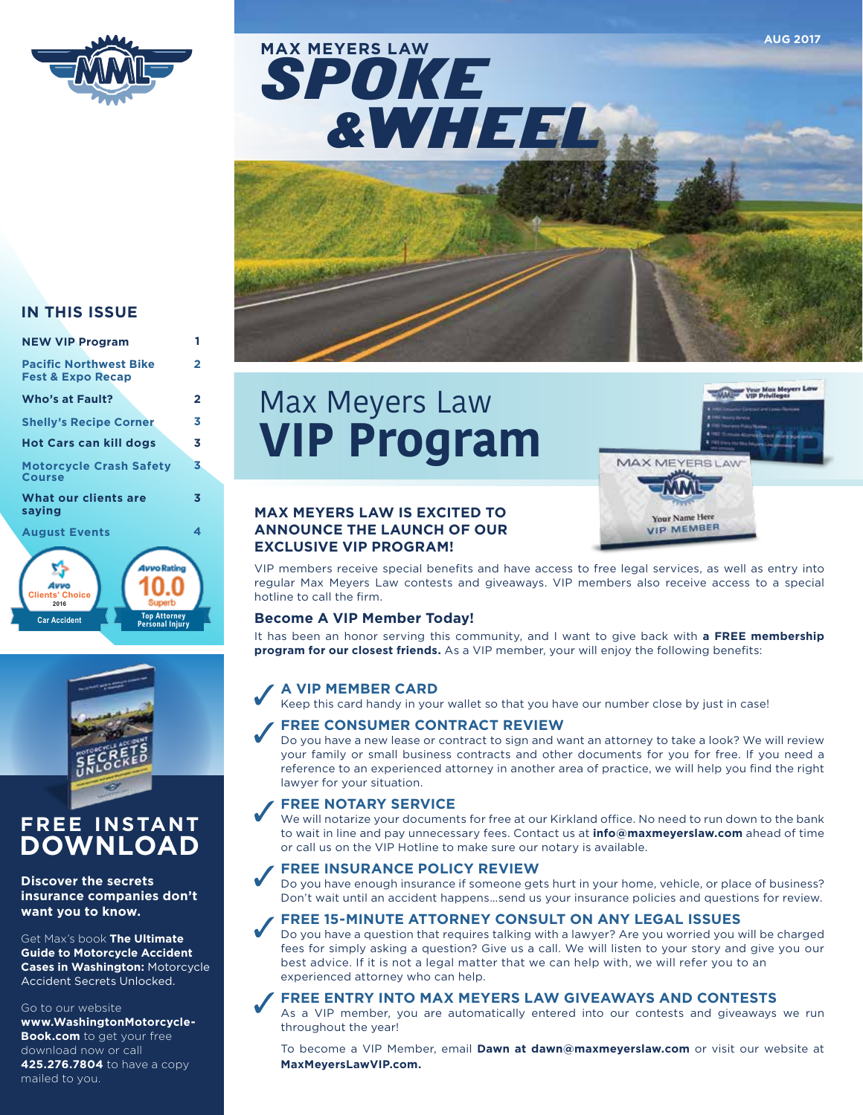



#### **IN THIS ISSUE**

**NEW VIP Program**

| <b>Pacific Northwest Bike</b>                                        | 2 |
|----------------------------------------------------------------------|---|
| <b>Fest &amp; Expo Recap</b>                                         |   |
| Who's at Fault?                                                      | 2 |
| <b>Shelly's Recipe Corner</b>                                        | 3 |
| Hot Cars can kill dogs                                               | 3 |
| <b>Motorcycle Crash Safety</b>                                       | 3 |
| Course                                                               |   |
| What our clients are<br>saying                                       | 3 |
|                                                                      |   |
| <b>August Events</b>                                                 | 4 |
|                                                                      |   |
| <b>4vvo Rating</b>                                                   |   |
|                                                                      |   |
| <b>Clients' Choice</b><br>Superb<br>2016                             |   |
| <b>Top Attorney</b><br><b>Car Accident</b><br><b>Personal Injury</b> |   |

**1**



## **FREE INSTANT DOWNLOAD**

**Discover the secrets insurance companies don't want you to know.** 

Get Max's book **The Ultimate Guide to Motorcycle Accident Cases in Washington:** Motorcycle Accident Secrets Unlocked.

#### Go to our website

**www.WashingtonMotorcycle-Book.com** to get your free download now or call **425.276.7804** to have a copy mailed to you.

# Max Meyers Law **VIP Program**

**MAX MEYERS LAW**



**AUG 2017**

#### **MAX MEYERS LAW IS EXCITED TO ANNOUNCE THE LAUNCH OF OUR EXCLUSIVE VIP PROGRAM!**

VIP members receive special benefits and have access to free legal services, as well as entry into regular Max Meyers Law contests and giveaways. VIP members also receive access to a special hotline to call the firm.

#### **Become A VIP Member Today!**

It has been an honor serving this community, and I want to give back with **a FREE membership program for our closest friends.** As a VIP member, your will enjoy the following benefits:

#### **A VIP MEMBER CARD**

Keep this card handy in your wallet so that you have our number close by just in case!

#### **FREE CONSUMER CONTRACT REVIEW**

Do you have a new lease or contract to sign and want an attorney to take a look? We will review your family or small business contracts and other documents for you for free. If you need a reference to an experienced attorney in another area of practice, we will help you find the right lawyer for your situation.

#### **FREE NOTARY SERVICE**

We will notarize your documents for free at our Kirkland office. No need to run down to the bank to wait in line and pay unnecessary fees. Contact us at **info@maxmeyerslaw.com** ahead of time or call us on the VIP Hotline to make sure our notary is available.

#### **FREE INSURANCE POLICY REVIEW**

Do you have enough insurance if someone gets hurt in your home, vehicle, or place of business? Don't wait until an accident happens…send us your insurance policies and questions for review.

#### **FREE 15-MINUTE ATTORNEY CONSULT ON ANY LEGAL ISSUES**

Do you have a question that requires talking with a lawyer? Are you worried you will be charged fees for simply asking a question? Give us a call. We will listen to your story and give you our best advice. If it is not a legal matter that we can help with, we will refer you to an experienced attorney who can help.

#### **FREE ENTRY INTO MAX MEYERS LAW GIVEAWAYS AND CONTESTS**

As a VIP member, you are automatically entered into our contests and giveaways we run throughout the year!

To become a VIP Member, email **Dawn at dawn@maxmeyerslaw.com** or visit our website at **MaxMeyersLawVIP.com.**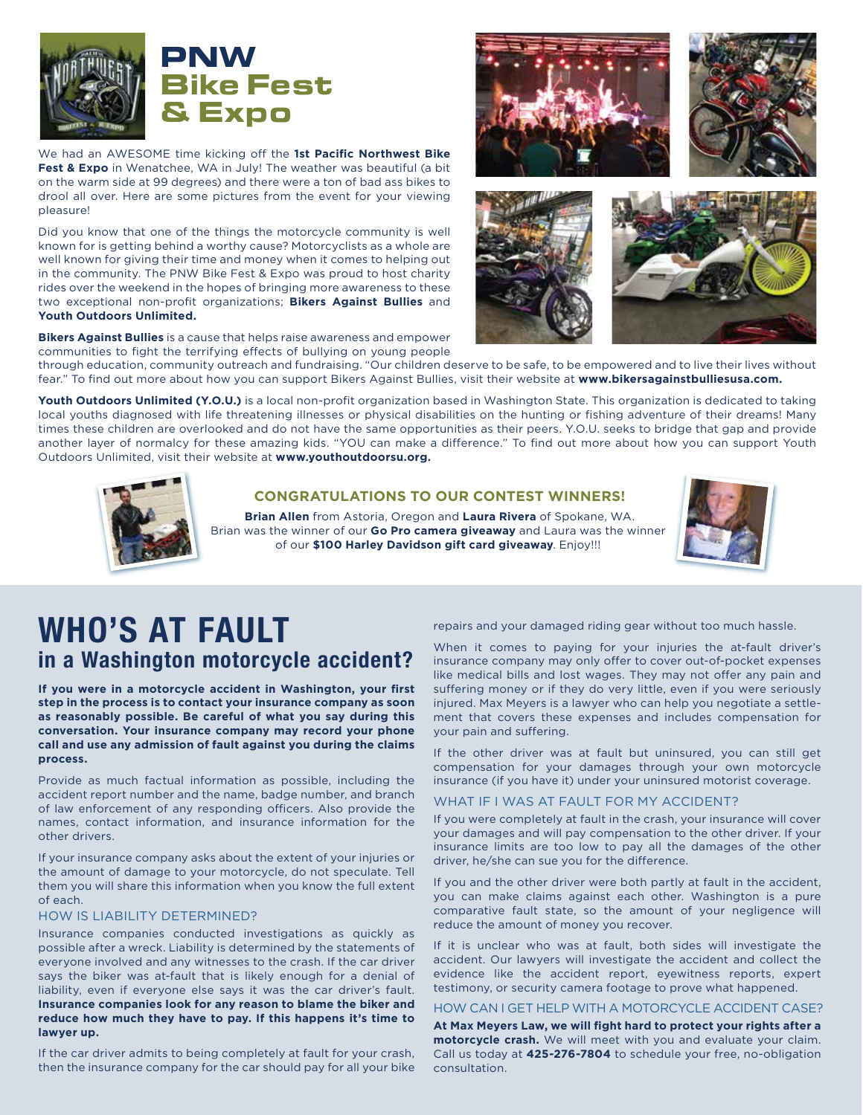

We had an AWESOME time kicking off the 1st Pacific Northwest Bike **Fest & Expo** in Wenatchee, WA in July! The weather was beautiful (a bit on the warm side at 99 degrees) and there were a ton of bad ass bikes to drool all over. Here are some pictures from the event for your viewing pleasure!

Did you know that one of the things the motorcycle community is well known for is getting behind a worthy cause? Motorcyclists as a whole are well known for giving their time and money when it comes to helping out in the community. The PNW Bike Fest & Expo was proud to host charity rides over the weekend in the hopes of bringing more awareness to these two exceptional non-profit organizations; **Bikers Against Bullies** and **Youth Outdoors Unlimited.** 

**Bikers Against Bullies** is a cause that helps raise awareness and empower communities to fight the terrifying effects of bullying on young people







through education, community outreach and fundraising. "Our children deserve to be safe, to be empowered and to live their lives without fear." To find out more about how you can support Bikers Against Bullies, visit their website at **www.bikersagainstbulliesusa.com.**

Youth Outdoors Unlimited (Y.O.U.) is a local non-profit organization based in Washington State. This organization is dedicated to taking local youths diagnosed with life threatening illnesses or physical disabilities on the hunting or fishing adventure of their dreams! Many times these children are overlooked and do not have the same opportunities as their peers. Y.O.U. seeks to bridge that gap and provide another layer of normalcy for these amazing kids. "YOU can make a difference." To find out more about how you can support Youth Outdoors Unlimited, visit their website at **www.youthoutdoorsu.org.**



#### **CONGRATULATIONS TO OUR CONTEST WINNERS!**

**Brian Allen** from Astoria, Oregon and **Laura Rivera** of Spokane, WA. Brian was the winner of our **Go Pro camera giveaway** and Laura was the winner of our **\$100 Harley Davidson gift card giveaway**. Enjoy!!!



## **WHO'S AT FAULT in a Washington motorcycle accident?**

**If you were in a motorcycle accident in Washington, your first step in the process is to contact your insurance company as soon as reasonably possible. Be careful of what you say during this conversation. Your insurance company may record your phone call and use any admission of fault against you during the claims process.**

Provide as much factual information as possible, including the accident report number and the name, badge number, and branch of law enforcement of any responding officers. Also provide the names, contact information, and insurance information for the other drivers.

If your insurance company asks about the extent of your injuries or the amount of damage to your motorcycle, do not speculate. Tell them you will share this information when you know the full extent of each.

#### HOW IS LIABILITY DETERMINED?

Insurance companies conducted investigations as quickly as possible after a wreck. Liability is determined by the statements of everyone involved and any witnesses to the crash. If the car driver says the biker was at-fault that is likely enough for a denial of liability, even if everyone else says it was the car driver's fault. **Insurance companies look for any reason to blame the biker and reduce how much they have to pay. If this happens it's time to lawyer up.**

If the car driver admits to being completely at fault for your crash, then the insurance company for the car should pay for all your bike repairs and your damaged riding gear without too much hassle.

When it comes to paying for your injuries the at-fault driver's insurance company may only offer to cover out-of-pocket expenses like medical bills and lost wages. They may not offer any pain and suffering money or if they do very little, even if you were seriously injured. Max Meyers is a lawyer who can help you negotiate a settlement that covers these expenses and includes compensation for your pain and suffering.

If the other driver was at fault but uninsured, you can still get compensation for your damages through your own motorcycle insurance (if you have it) under your uninsured motorist coverage.

#### WHAT IF I WAS AT FAULT FOR MY ACCIDENT?

If you were completely at fault in the crash, your insurance will cover your damages and will pay compensation to the other driver. If your insurance limits are too low to pay all the damages of the other driver, he/she can sue you for the difference.

If you and the other driver were both partly at fault in the accident, you can make claims against each other. Washington is a pure comparative fault state, so the amount of your negligence will reduce the amount of money you recover.

If it is unclear who was at fault, both sides will investigate the accident. Our lawyers will investigate the accident and collect the evidence like the accident report, eyewitness reports, expert testimony, or security camera footage to prove what happened.

#### HOW CAN I GET HELP WITH A MOTORCYCLE ACCIDENT CASE?

**At Max Meyers Law, we will fight hard to protect your rights after a motorcycle crash.** We will meet with you and evaluate your claim. Call us today at **425-276-7804** to schedule your free, no-obligation consultation.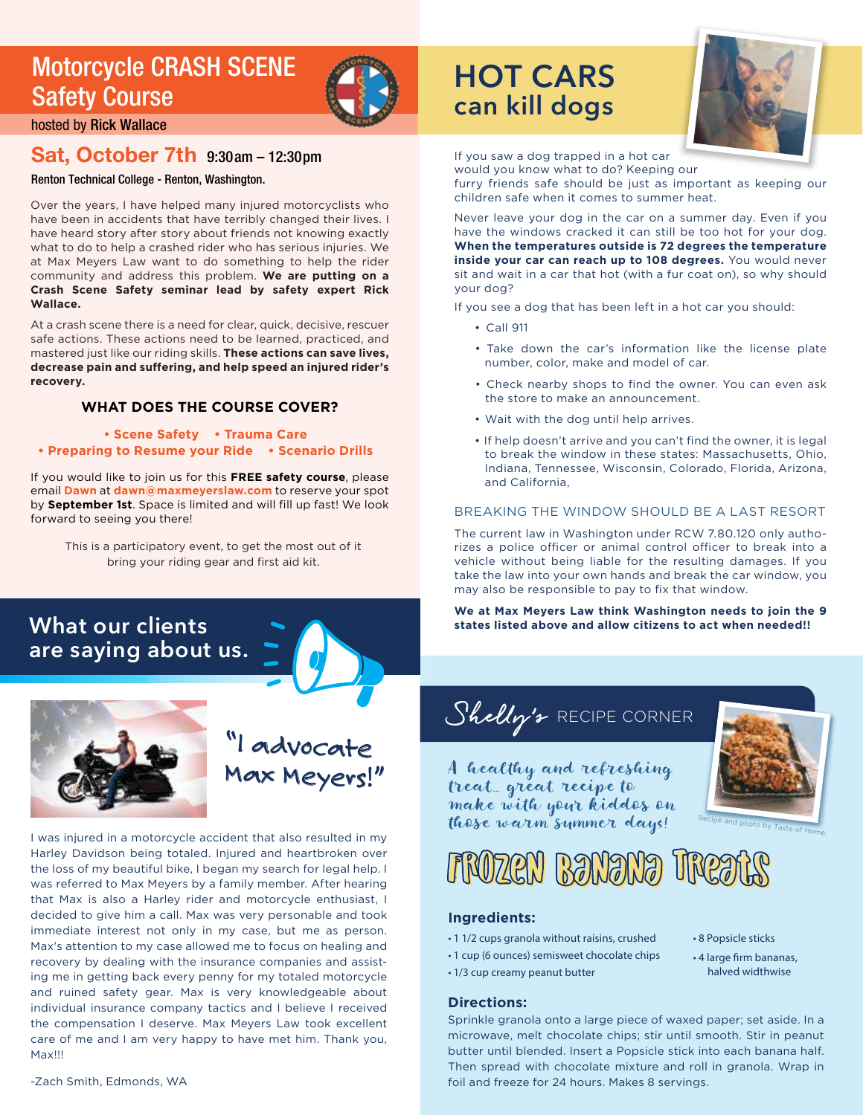## Motorcycle CRASH SCENE Safety Course



hosted by Rick Wallace

#### Sat, October 7th 9:30am – 12:30pm

Renton Technical College - Renton, Washington.

Over the years, I have helped many injured motorcyclists who have been in accidents that have terribly changed their lives. I have heard story after story about friends not knowing exactly what to do to help a crashed rider who has serious injuries. We at Max Meyers Law want to do something to help the rider community and address this problem. **We are putting on a Crash Scene Safety seminar lead by safety expert Rick Wallace.**

At a crash scene there is a need for clear, quick, decisive, rescuer safe actions. These actions need to be learned, practiced, and mastered just like our riding skills. **These actions can save lives,**  decrease pain and suffering, and help speed an injured rider's **recovery.** 

#### **WHAT DOES THE COURSE COVER?**

- **Scene Safety Trauma Care**
- **Preparing to Resume your Ride Scenario Drills**

If you would like to join us for this **FREE safety course**, please email **Dawn** at **dawn@maxmeyerslaw.com** to reserve your spot by **September 1st**. Space is limited and will fill up fast! We look forward to seeing you there!

This is a participatory event, to get the most out of it bring your riding gear and first aid kit.

### **What our clients are saying about us.**



"I advocate **K** Meyers!"

I was injured in a motorcycle accident that also resulted in my Harley Davidson being totaled. Injured and heartbroken over the loss of my beautiful bike, I began my search for legal help. I was referred to Max Meyers by a family member. After hearing that Max is also a Harley rider and motorcycle enthusiast, I decided to give him a call. Max was very personable and took immediate interest not only in my case, but me as person. Max's attention to my case allowed me to focus on healing and recovery by dealing with the insurance companies and assisting me in getting back every penny for my totaled motorcycle and ruined safety gear. Max is very knowledgeable about individual insurance company tactics and I believe I received the compensation I deserve. Max Meyers Law took excellent care of me and I am very happy to have met him. Thank you, Max!!!

## **HOT CARS can kill dogs**



If you saw a dog trapped in a hot car

would you know what to do? Keeping our furry friends safe should be just as important as keeping our children safe when it comes to summer heat.

Never leave your dog in the car on a summer day. Even if you have the windows cracked it can still be too hot for your dog. **When the temperatures outside is 72 degrees the temperature inside your car can reach up to 108 degrees.** You would never sit and wait in a car that hot (with a fur coat on), so why should your dog?

If you see a dog that has been left in a hot car you should:

- Call 911
- Take down the car's information like the license plate number, color, make and model of car.
- Check nearby shops to find the owner. You can even ask the store to make an announcement.
- Wait with the dog until help arrives.
- If help doesn't arrive and you can't find the owner, it is legal to break the window in these states: Massachusetts, Ohio, Indiana, Tennessee, Wisconsin, Colorado, Florida, Arizona, and California,

#### BREAKING THE WINDOW SHOULD BE A LAST RESORT

The current law in Washington under RCW 7.80.120 only authorizes a police officer or animal control officer to break into a vehicle without being liable for the resulting damages. If you take the law into your own hands and break the car window, you may also be responsible to pay to fix that window.

**We at Max Meyers Law think Washington needs to join the 9 states listed above and allow citizens to act when needed!!**



A healthy and refreshing treat… great recipe to make with your kiddos on those warm summer days!



## Frozen Banana Treats

#### **Ingredients:**

- 1 1/2 cups granola without raisins, crushed
- 1 cup (6 ounces) semisweet chocolate chips
- 1/3 cup creamy peanut butter

#### **Directions:**

- 8 Popsicle sticks
- 4 large firm bananas, halved widthwise

Sprinkle granola onto a large piece of waxed paper; set aside. In a microwave, melt chocolate chips; stir until smooth. Stir in peanut butter until blended. Insert a Popsicle stick into each banana half. Then spread with chocolate mixture and roll in granola. Wrap in foil and freeze for 24 hours. Makes 8 servings.